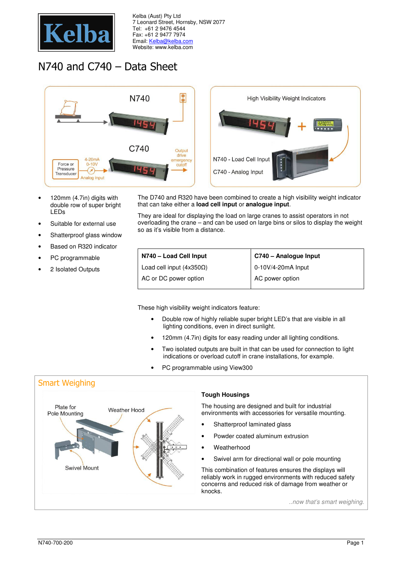

Kelba (Aust) Pty Ltd 7 Leonard Street, Hornsby, NSW 2077 Tel: +61 2 9476 4544 Fax: +61 2 9477 7974 Email: Kelba@kelba.com Website: www.kelba.com

## N740 and C740 – Data Sheet



- 120mm (4.7in) digits with double row of super bright LEDs
- Suitable for external use
- Shatterproof glass window
- Based on R320 indicator
- PC programmable
- 2 Isolated Outputs

The D740 and R320 have been combined to create a high visibility weight indicator that can take either a **load cell input** or **analogue input**.

They are ideal for displaying the load on large cranes to assist operators in not overloading the crane – and can be used on large bins or silos to display the weight so as it's visible from a distance.

| N740 - Load Cell Input          | C740 - Analogue Input |  |
|---------------------------------|-----------------------|--|
| Load cell input $(4x350\Omega)$ | 0-10V/4-20mA Input    |  |
| AC or DC power option           | AC power option       |  |

These high visibility weight indicators feature:

- Double row of highly reliable super bright LED's that are visible in all lighting conditions, even in direct sunlight.
- 120mm (4.7in) digits for easy reading under all lighting conditions.
- Two isolated outputs are built in that can be used for connection to light indications or overload cutoff in crane installations, for example.
- PC programmable using View300

## Smart Weighing



## **Tough Housings**

The housing are designed and built for industrial environments with accessories for versatile mounting.

- Shatterproof laminated glass
- Powder coated aluminum extrusion
- Weatherhood
- Swivel arm for directional wall or pole mounting

This combination of features ensures the displays will reliably work in rugged environments with reduced safety concerns and reduced risk of damage from weather or knocks.

..now that's smart weighing.